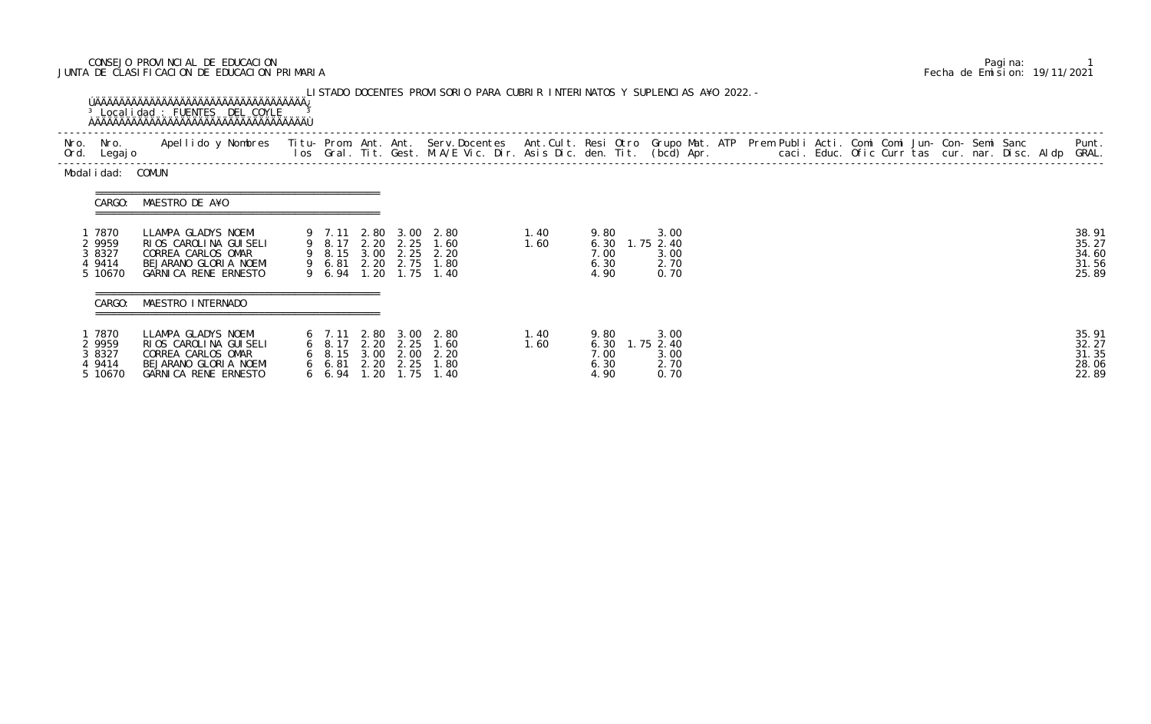## CONSEJO PROVINCIAL DE EDUCACION Pagina: 1 JUNTA DE CLASIFICACION DE EDUCACION PRIMARIA Fecha de Emision: 19/11/2021

| Nro. Nro.<br>Ord. Legajo                        | Apellido y Nombres  Titu- Prom. Ant. Ant. Serv.Docentes  Ant.Cult. Resi Otro Grupo Mat. ATP Prem Publi Acti. Comi Comi Jun- Con- Semi Sanc         Punt.<br>Ios Gral. Tit. Gest. M.A/E Vic. Dir. Asis Dic. den. Tit. (bcd) Apr. |                         |      |                                                                                                                           |              |                                                |                                           |  |  |  |  |  | Punt.                                     |
|-------------------------------------------------|---------------------------------------------------------------------------------------------------------------------------------------------------------------------------------------------------------------------------------|-------------------------|------|---------------------------------------------------------------------------------------------------------------------------|--------------|------------------------------------------------|-------------------------------------------|--|--|--|--|--|-------------------------------------------|
| Modal i dad: COMUN                              |                                                                                                                                                                                                                                 |                         |      |                                                                                                                           |              |                                                |                                           |  |  |  |  |  |                                           |
|                                                 | CARGO: MAESTRO DE A¥O                                                                                                                                                                                                           |                         |      |                                                                                                                           |              |                                                |                                           |  |  |  |  |  |                                           |
| 1 7870<br>2 9959<br>3 8327<br>4 9414<br>5 10670 | LLAMPA GLADYS NOEMI<br>RIOS CAROLINA GUISELI<br>CORREA CARLOS OMAR<br>BEJARANO GLORIA NOEMI<br>GARNICA RENE ERNESTO                                                                                                             |                         |      | 9 7.11 2.80 3.00 2.80<br>9 8.17 2.20 2.25 1.60<br>9 8.15 3.00 2.25 2.20<br>9 6.81 2.20 2.75 1.80<br>9 6.94 1.20 1.75 1.40 | 1.40<br>1.60 | 9.80<br>6.30<br>7.00<br>6.30<br>4.90           | 3.00<br>1.75 2.40<br>3.00<br>2.70<br>0.70 |  |  |  |  |  | 38.91<br>35.27<br>34.60<br>31.56<br>25.89 |
| CARGO:                                          | MAESTRO INTERNADO                                                                                                                                                                                                               |                         |      |                                                                                                                           |              |                                                |                                           |  |  |  |  |  |                                           |
| 1 7870<br>2 9959<br>3 8327<br>4 9414<br>5 10670 | LLAMPA GLADYS NOEMI<br>RIOS CAROLINA GUISELI<br>CORREA CARLOS OMAR<br>BEJARANO GLORIA NOEMI<br>GARNICA RENE ERNESTO                                                                                                             | $6\quad 6.94\quad 1.20$ | 1.75 | 6 7.11 2.80 3.00 2.80<br>6 8.17 2.20 2.25 1.60<br>6 8.15 3.00 2.00 2.20<br>6 6.81 2.20 2.25 1.80<br>1.40                  | 1.40<br>1.60 | 9.80<br>6.30 1.75 2.40<br>7.00<br>6.30<br>4.90 | 3.00<br>3.00<br>2.70<br>0.70              |  |  |  |  |  | 35.91<br>32.27<br>31.35<br>28.06<br>22.89 |